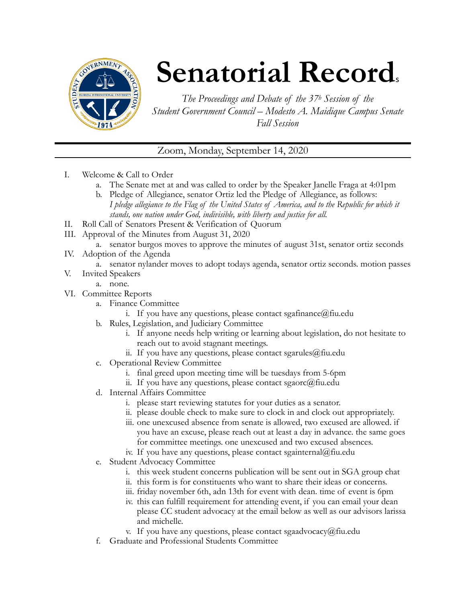

## **Senatorial Records**

*The Proceedings and Debate of the 37h Session of the Student Government Council – Modesto A. Maidique Campus Senate Fall Session* 

Zoom, Monday, September 14, 2020

- I. Welcome & Call to Order
	- a. The Senate met at and was called to order by the Speaker Janelle Fraga at 4:01pm
	- b. Pledge of Allegiance, senator Ortiz led the Pledge of Allegiance, as follows: *I pledge allegiance to the Flag of the United States of America, and to the Republic for which it stands, one nation under God, indivisible, with liberty and justice for all.*
- II. Roll Call of Senators Present & Verification of Quorum
- III. Approval of the Minutes from August 31, 2020
	- a. senator burgos moves to approve the minutes of august 31st, senator ortiz seconds
- IV. Adoption of the Agenda
	- a. senator nylander moves to adopt todays agenda, senator ortiz seconds. motion passes
- V. Invited Speakers
	- a. none.
- VI. Committee Reports
	- a. Finance Committee
		- i. If you have any questions, please contact sgafinance@fiu.edu
	- b. Rules, Legislation, and Judiciary Committee
		- i. If anyone needs help writing or learning about legislation, do not hesitate to reach out to avoid stagnant meetings.
		- ii. If you have any questions, please contact sgarules@fiu.edu
	- c. Operational Review Committee
		- i. final greed upon meeting time will be tuesdays from 5-6pm
		- ii. If you have any questions, please contact sgaorc@fiu.edu
	- d. Internal Affairs Committee
		- i. please start reviewing statutes for your duties as a senator.
		- ii. please double check to make sure to clock in and clock out appropriately.
		- iii. one unexcused absence from senate is allowed, two excused are allowed. if you have an excuse, please reach out at least a day in advance. the same goes for committee meetings. one unexcused and two excused absences.
		- iv. If you have any questions, please contact sgainternal@fiu.edu
	- e. Student Advocacy Committee
		- i. this week student concerns publication will be sent out in SGA group chat
		- ii. this form is for constituents who want to share their ideas or concerns.
		- iii. friday november 6th, adn 13th for event with dean. time of event is 6pm
		- iv. this can fulfill requirement for attending event, if you can email your dean please CC student advocacy at the email below as well as our advisors larissa and michelle.
		- v. If you have any questions, please contact sgaadvocacy@fiu.edu
	- f. Graduate and Professional Students Committee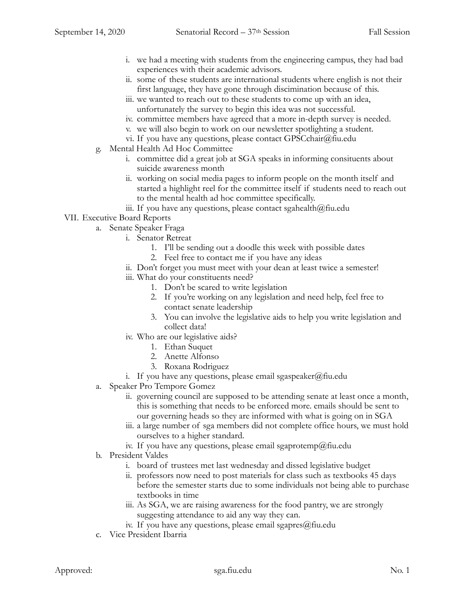- i. we had a meeting with students from the engineering campus, they had bad experiences with their academic advisors.
- ii. some of these students are international students where english is not their first language, they have gone through discimination because of this.
- iii. we wanted to reach out to these students to come up with an idea, unfortunately the survey to begin this idea was not successful.
- iv. committee members have agreed that a more in-depth survey is needed.
- v. we will also begin to work on our newsletter spotlighting a student.
- vi. If you have any questions, please contact GPSCchair@fiu.edu
- g. Mental Health Ad Hoc Committee
	- i. committee did a great job at SGA speaks in informing consituents about suicide awareness month
	- ii. working on social media pages to inform people on the month itself and started a highlight reel for the committee itself if students need to reach out to the mental health ad hoc committee specifically.
	- iii. If you have any questions, please contact sgahealth $@$ fiu.edu

## VII. Executive Board Reports

- a. Senate Speaker Fraga
	- i. Senator Retreat
		- 1. I'll be sending out a doodle this week with possible dates
		- 2. Feel free to contact me if you have any ideas
	- ii. Don't forget you must meet with your dean at least twice a semester!
	- iii. What do your constituents need?
		- 1. Don't be scared to write legislation
		- 2. If you're working on any legislation and need help, feel free to contact senate leadership
		- 3. You can involve the legislative aids to help you write legislation and collect data!
	- iv. Who are our legislative aids?
		- 1. Ethan Suquet
		- 2. Anette Alfonso
		- 3. Roxana Rodriguez
	- i. If you have any questions, please email sgaspeaker@fiu.edu
- a. Speaker Pro Tempore Gomez
	- ii. governing council are supposed to be attending senate at least once a month, this is something that needs to be enforced more. emails should be sent to our governing heads so they are informed with what is going on in SGA
	- iii. a large number of sga members did not complete office hours, we must hold ourselves to a higher standard.
	- iv. If you have any questions, please email sgaprotemp@fiu.edu
- b. President Valdes
	- i. board of trustees met last wednesday and dissed legislative budget
	- ii. professors now need to post materials for class such as textbooks 45 days before the semester starts due to some individuals not being able to purchase textbooks in time
	- iii. As SGA, we are raising awareness for the food pantry, we are strongly suggesting attendance to aid any way they can.
	- iv. If you have any questions, please email sgapres@fiu.edu
- c. Vice President Ibarria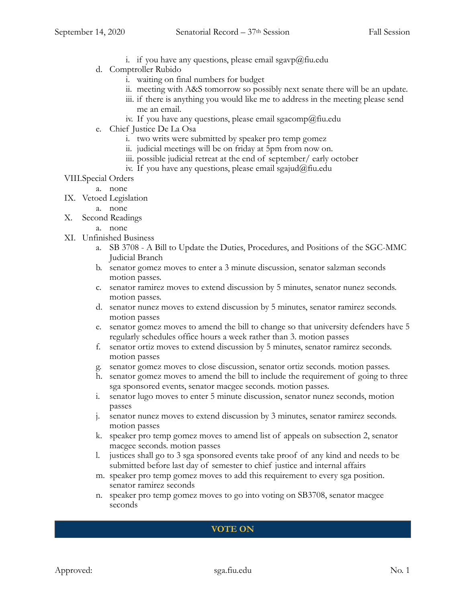- i. if you have any questions, please email sgavp@fiu.edu
- d. Comptroller Rubido
	- i. waiting on final numbers for budget
	- ii. meeting with A&S tomorrow so possibly next senate there will be an update.
	- iii. if there is anything you would like me to address in the meeting please send me an email.
	- iv. If you have any questions, please email sgacomp@fiu.edu
- e. Chief Justice De La Osa
	- i. two writs were submitted by speaker pro temp gomez
	- ii. judicial meetings will be on friday at 5pm from now on.
	- iii. possible judicial retreat at the end of september/ early october
	- iv. If you have any questions, please email sgajud@fiu.edu
- VIII.Special Orders
	- a. none
- IX. Vetoed Legislation
	- a. none
- X. Second Readings
	- a. none
- XI. Unfinished Business
	- a. SB 3708 A Bill to Update the Duties, Procedures, and Positions of the SGC-MMC Judicial Branch
	- b. senator gomez moves to enter a 3 minute discussion, senator salzman seconds motion passes.
	- c. senator ramirez moves to extend discussion by 5 minutes, senator nunez seconds. motion passes.
	- d. senator nunez moves to extend discussion by 5 minutes, senator ramirez seconds. motion passes
	- e. senator gomez moves to amend the bill to change so that university defenders have 5 regularly schedules office hours a week rather than 3. motion passes
	- f. senator ortiz moves to extend discussion by 5 minutes, senator ramirez seconds. motion passes
	- g. senator gomez moves to close discussion, senator ortiz seconds. motion passes.
	- h. senator gomez moves to amend the bill to include the requirement of going to three sga sponsored events, senator macgee seconds. motion passes.
	- i. senator lugo moves to enter 5 minute discussion, senator nunez seconds, motion passes
	- j. senator nunez moves to extend discussion by 3 minutes, senator ramirez seconds. motion passes
	- k. speaker pro temp gomez moves to amend list of appeals on subsection 2, senator macgee seconds. motion passes
	- l. justices shall go to 3 sga sponsored events take proof of any kind and needs to be submitted before last day of semester to chief justice and internal affairs
	- m. speaker pro temp gomez moves to add this requirement to every sga position. senator ramirez seconds
	- n. speaker pro temp gomez moves to go into voting on SB3708, senator macgee seconds

## **VOTE ON**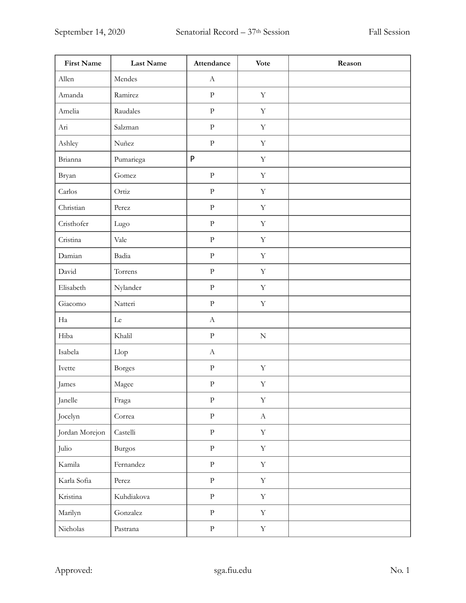| <b>First Name</b> | Last Name     | Attendance                | <b>Vote</b> | Reason |
|-------------------|---------------|---------------------------|-------------|--------|
| Allen             | Mendes        | $\boldsymbol{\mathrm{A}}$ |             |        |
| Amanda            | Ramirez       | $\rm P$                   | $\mathbf Y$ |        |
| Amelia            | Raudales      | ${\bf p}$                 | $\mathbf Y$ |        |
| Ari               | Salzman       | ${\bf P}$                 | $\mathbf Y$ |        |
| Ashley            | Nuñez         | $\rm P$                   | $\mathbf Y$ |        |
| Brianna           | Pumariega     | P                         | $\mathbf Y$ |        |
| Bryan             | Gomez         | ${\bf P}$                 | $\mathbf Y$ |        |
| Carlos            | Ortiz         | ${\bf P}$                 | $\mathbf Y$ |        |
| Christian         | Perez         | ${\bf p}$                 | $\mathbf Y$ |        |
| Cristhofer        | Lugo          | ${\bf p}$                 | $\mathbf Y$ |        |
| Cristina          | Vale          | ${\bf P}$                 | $\mathbf Y$ |        |
| Damian            | Badia         | $\rm P$                   | $\mathbf Y$ |        |
| David             | Torrens       | $\rm P$                   | $\mathbf Y$ |        |
| Elisabeth         | Nylander      | $\rm P$                   | $\mathbf Y$ |        |
| Giacomo           | Natteri       | $\rm P$                   | $\mathbf Y$ |        |
| Ha                | ${\rm Le}$    | $\bf{A}$                  |             |        |
| Hiba              | Khalil        | $\rm P$                   | ${\bf N}$   |        |
| Isabela           | Llop          | $\bf{A}$                  |             |        |
| Ivette            | <b>Borges</b> | ${\bf p}$                 | $\mathbf Y$ |        |
| James             | Magee         | ${\bf P}$                 | $\mathbf Y$ |        |
| Janelle           | Fraga         | $\rm P$                   | $\mathbf Y$ |        |
| Jocelyn           | Correa        | $\rm P$                   | $\mathbf A$ |        |
| Jordan Morejon    | Castelli      | $\, {\bf p}$              | $\mathbf Y$ |        |
| Julio             | <b>Burgos</b> | $\rm P$                   | $\mathbf Y$ |        |
| Kamila            | Fernandez     | $\, {\bf p}$              | $\mathbf Y$ |        |
| Karla Sofia       | Perez         | $\, {\bf p}$              | $\mathbf Y$ |        |
| Kristina          | Kuhdiakova    | $\, {\bf p}$              | $\mathbf Y$ |        |
| Marilyn           | Gonzalez      | $\rm P$                   | $\mathbf Y$ |        |
| Nicholas          | Pastrana      | ${\bf P}$                 | $\mathbf Y$ |        |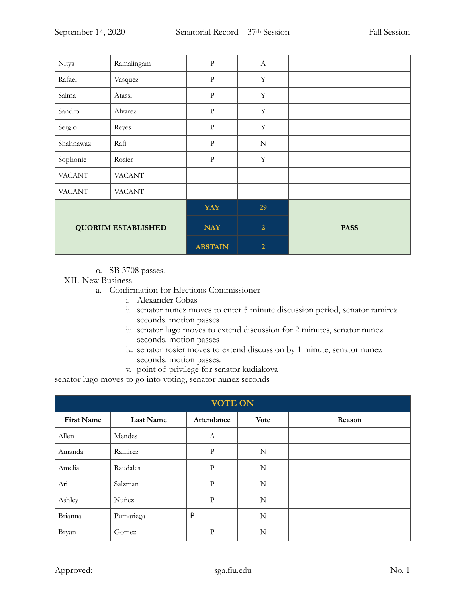| Nitya                     | Ramalingam    | ${\bf P}$      | $\boldsymbol{A}$ |             |
|---------------------------|---------------|----------------|------------------|-------------|
| Rafael                    | Vasquez       | ${\bf P}$      | $\mathbf Y$      |             |
| Salma                     | Atassi        | ${\bf P}$      | $\mathbf Y$      |             |
| Sandro                    | Alvarez       | $\rm{P}$       | $\mathbf Y$      |             |
| Sergio                    | Reyes         | ${\bf P}$      | Y                |             |
| Shahnawaz                 | Rafi          | $\rm P$        | ${\bf N}$        |             |
| Sophonie                  | Rosier        | $\rm{P}$       | $\mathbf Y$      |             |
| <b>VACANT</b>             | <b>VACANT</b> |                |                  |             |
| <b>VACANT</b>             | <b>VACANT</b> |                |                  |             |
| <b>QUORUM ESTABLISHED</b> |               | <b>YAY</b>     | 29               |             |
|                           |               | <b>NAY</b>     | $\overline{2}$   | <b>PASS</b> |
|                           |               | <b>ABSTAIN</b> | $\overline{2}$   |             |

o. SB 3708 passes.

XII. New Business

- a. Confirmation for Elections Commissioner
	- i. Alexander Cobas
	- ii. senator nunez moves to enter 5 minute discussion period, senator ramirez seconds. motion passes
	- iii. senator lugo moves to extend discussion for 2 minutes, senator nunez seconds. motion passes
	- iv. senator rosier moves to extend discussion by 1 minute, senator nunez seconds. motion passes.
	- v. point of privilege for senator kudiakova

senator lugo moves to go into voting, senator nunez seconds

| <b>VOTE ON</b>    |                  |              |             |        |  |
|-------------------|------------------|--------------|-------------|--------|--|
| <b>First Name</b> | <b>Last Name</b> | Attendance   | <b>Vote</b> | Reason |  |
| Allen             | Mendes           | А            |             |        |  |
| Amanda            | Ramirez          | $\mathbf{P}$ | N           |        |  |
| Amelia            | Raudales         | $\mathbf{P}$ | $\mathbf N$ |        |  |
| Ari               | Salzman          | $\rm P$      | N           |        |  |
| Ashley            | Nuñez            | $\mathbf{P}$ | N           |        |  |
| Brianna           | Pumariega        | P            | N           |        |  |
| Bryan             | Gomez            | $\mathbf{P}$ | N           |        |  |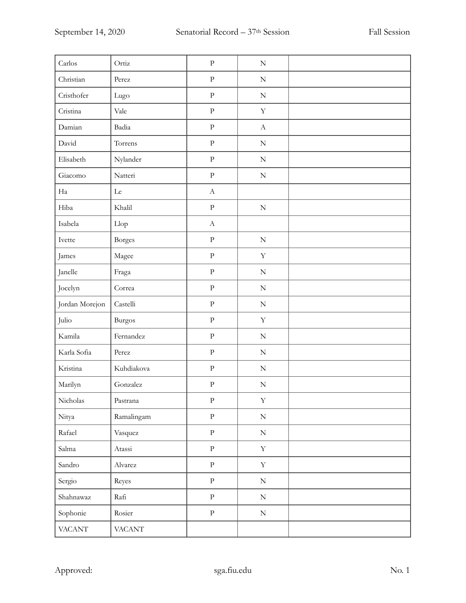| Carlos         | Ortiz         | ${\bf p}$             | ${\bf N}$                 |  |
|----------------|---------------|-----------------------|---------------------------|--|
| Christian      | Perez         | ${\bf P}$             | $\mathbf N$               |  |
| Cristhofer     | Lugo          | ${\bf p}$             | ${\bf N}$                 |  |
| Cristina       | Vale          | ${\bf P}$             | $\mathbf Y$               |  |
| Damian         | Badia         | ${\bf p}$             | $\boldsymbol{\mathrm{A}}$ |  |
| David          | Torrens       | ${\bf P}$             | $\mathbf N$               |  |
| Elisabeth      | Nylander      | $\rm{P}$              | $\mathbf N$               |  |
| Giacomo        | Natteri       | $\rm{P}$              | $\mathbf N$               |  |
| Ha             | Le            | $\boldsymbol{A}$      |                           |  |
| Hiba           | Khalil        | ${\bf P}$             | ${\bf N}$                 |  |
| Isabela        | Llop          | $\boldsymbol{\rm{A}}$ |                           |  |
| Ivette         | Borges        | $\rm{P}$              | ${\bf N}$                 |  |
| James          | Magee         | $\rm P$               | $\mathbf Y$               |  |
| Janelle        | Fraga         | ${\bf p}$             | $\mathbf N$               |  |
| Jocelyn        | Correa        | $\rm{P}$              | ${\bf N}$                 |  |
| Jordan Morejon | Castelli      | ${\bf p}$             | $\mathbf N$               |  |
| Julio          | <b>Burgos</b> | ${\bf p}$             | $\mathbf Y$               |  |
| Kamila         | Fernandez     | ${\bf P}$             | $\mathbf N$               |  |
| Karla Sofia    | Perez         | ${\bf p}$             | ${\bf N}$                 |  |
| Kristina       | Kuhdiakova    | ${\bf P}$             | $\mathbf N$               |  |
| Marilyn        | Gonzalez      | ${\bf p}$             | ${\bf N}$                 |  |
| Nicholas       | Pastrana      | ${\bf p}$             | $\mathbf Y$               |  |
| Nitya          | Ramalingam    | $\rm P$               | $\mathbf N$               |  |
| Rafael         | Vasquez       | $\rm P$               | ${\bf N}$                 |  |
| Salma          | Atassi        | $\rm P$               | $\mathbf Y$               |  |
| Sandro         | Alvarez       | $\rm P$               | $\mathbf Y$               |  |
| Sergio         | Reyes         | $\rm P$               | ${\bf N}$                 |  |
| Shahnawaz      | Rafi          | $\rm P$               | ${\bf N}$                 |  |
| Sophonie       | Rosier        | $\rm P$               | ${\bf N}$                 |  |
| <b>VACANT</b>  | <b>VACANT</b> |                       |                           |  |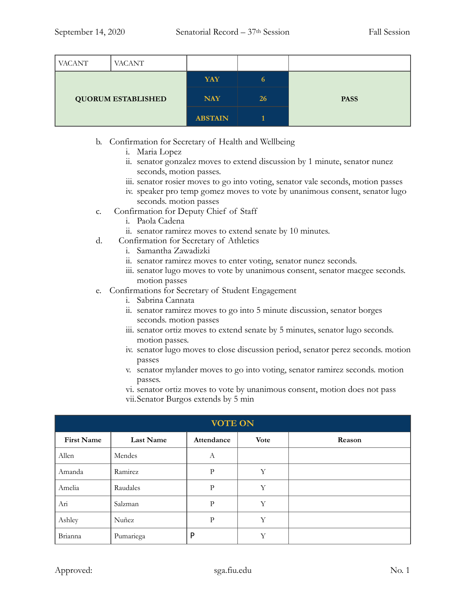| <b>VACANT</b>             | <b>VACANT</b> |                |    |             |
|---------------------------|---------------|----------------|----|-------------|
| <b>QUORUM ESTABLISHED</b> |               | <b>YAY</b>     | 6  |             |
|                           |               | <b>NAY</b>     | 26 | <b>PASS</b> |
|                           |               | <b>ABSTAIN</b> |    |             |

- b. Confirmation for Secretary of Health and Wellbeing
	- i. Maria Lopez
	- ii. senator gonzalez moves to extend discussion by 1 minute, senator nunez seconds, motion passes.
	- iii. senator rosier moves to go into voting, senator vale seconds, motion passes
	- iv. speaker pro temp gomez moves to vote by unanimous consent, senator lugo seconds. motion passes
- c. Confirmation for Deputy Chief of Staff
	- i. Paola Cadena
	- ii. senator ramirez moves to extend senate by 10 minutes.
- d. Confirmation for Secretary of Athletics
	- i. Samantha Zawadizki
	- ii. senator ramirez moves to enter voting, senator nunez seconds.
	- iii. senator lugo moves to vote by unanimous consent, senator macgee seconds. motion passes
- e. Confirmations for Secretary of Student Engagement
	- i. Sabrina Cannata
	- ii. senator ramirez moves to go into 5 minute discussion, senator borges seconds. motion passes
	- iii. senator ortiz moves to extend senate by 5 minutes, senator lugo seconds. motion passes.
	- iv. senator lugo moves to close discussion period, senator perez seconds. motion passes
	- v. senator mylander moves to go into voting, senator ramirez seconds. motion passes.
	- vi. senator ortiz moves to vote by unanimous consent, motion does not pass
	- vii.Senator Burgos extends by 5 min

| <b>VOTE ON</b>    |                  |              |             |        |  |  |
|-------------------|------------------|--------------|-------------|--------|--|--|
| <b>First Name</b> | <b>Last Name</b> | Attendance   | <b>Vote</b> | Reason |  |  |
| Allen             | Mendes           | А            |             |        |  |  |
| Amanda            | Ramirez          | P            | Y           |        |  |  |
| Amelia            | Raudales         | $\mathbf{P}$ | Y           |        |  |  |
| Ari               | Salzman          | P            | Y           |        |  |  |
| Ashley            | Nuñez            | P            | Y           |        |  |  |
| Brianna           | Pumariega        | P            | Y           |        |  |  |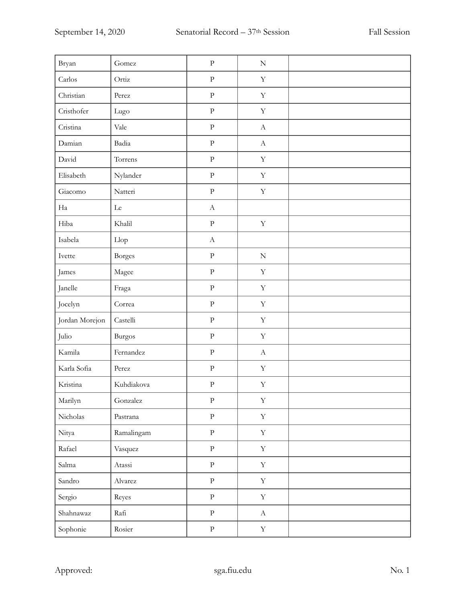| Bryan          | Gomez         | ${\bf p}$                 | ${\bf N}$                 |  |
|----------------|---------------|---------------------------|---------------------------|--|
| Carlos         | Ortiz         | $\rm{P}$                  | $\mathbf Y$               |  |
| Christian      | Perez         | $\rm{P}$                  | $\mathbf Y$               |  |
| Cristhofer     | Lugo          | ${\bf P}$                 | $\mathbf Y$               |  |
| Cristina       | Vale          | $\rm{P}$                  | $\boldsymbol{\mathrm{A}}$ |  |
| Damian         | Badia         | $\rm P$                   | $\mathbf A$               |  |
| David          | Torrens       | $\rm{P}$                  | $\mathbf Y$               |  |
| Elisabeth      | Nylander      | $\rm P$                   | $\mathbf Y$               |  |
| Giacomo        | Natteri       | $\rm P$                   | $\mathbf Y$               |  |
| Ha             | ${\rm Le}$    | $\boldsymbol{\rm{A}}$     |                           |  |
| Hiba           | Khalil        | $\rm{P}$                  | $\mathbf Y$               |  |
| Isabela        | Llop          | $\boldsymbol{\mathrm{A}}$ |                           |  |
| Ivette         | <b>Borges</b> | ${\bf p}$                 | $\mathbf N$               |  |
| James          | Magee         | ${\bf p}$                 | $\mathbf Y$               |  |
| Janelle        | Fraga         | $\rm{P}$                  | $\mathbf Y$               |  |
| Jocelyn        | Correa        | $\rm{P}$                  | $\mathbf Y$               |  |
| Jordan Morejon | Castelli      | ${\bf p}$                 | $\mathbf Y$               |  |
| Julio          | <b>Burgos</b> | ${\bf p}$                 | $\mathbf Y$               |  |
| Kamila         | Fernandez     | ${\bf p}$                 | $\mathbf A$               |  |
| Karla Sofia    | Perez         | ${\bf P}$                 | $\mathbf Y$               |  |
| Kristina       | Kuhdiakova    | ${\bf p}$                 | $\mathbf Y$               |  |
| Marilyn        | Gonzalez      | ${\bf p}$                 | $\mathbf Y$               |  |
| Nicholas       | Pastrana      | $\rm P$                   | $\mathbf Y$               |  |
| Nitya          | Ramalingam    | $\rm P$                   | $\mathbf Y$               |  |
| Rafael         | Vasquez       | $\rm P$                   | $\mathbf Y$               |  |
| Salma          | Atassi        | $\rm P$                   | $\mathbf Y$               |  |
| Sandro         | Alvarez       | $\rm P$                   | $\mathbf Y$               |  |
| Sergio         | Reyes         | $\rm P$                   | $\mathbf Y$               |  |
| Shahnawaz      | Rafi          | $\rm P$                   | $\mathbf A$               |  |
| Sophonie       | Rosier        | ${\bf P}$                 | $\mathbf Y$               |  |